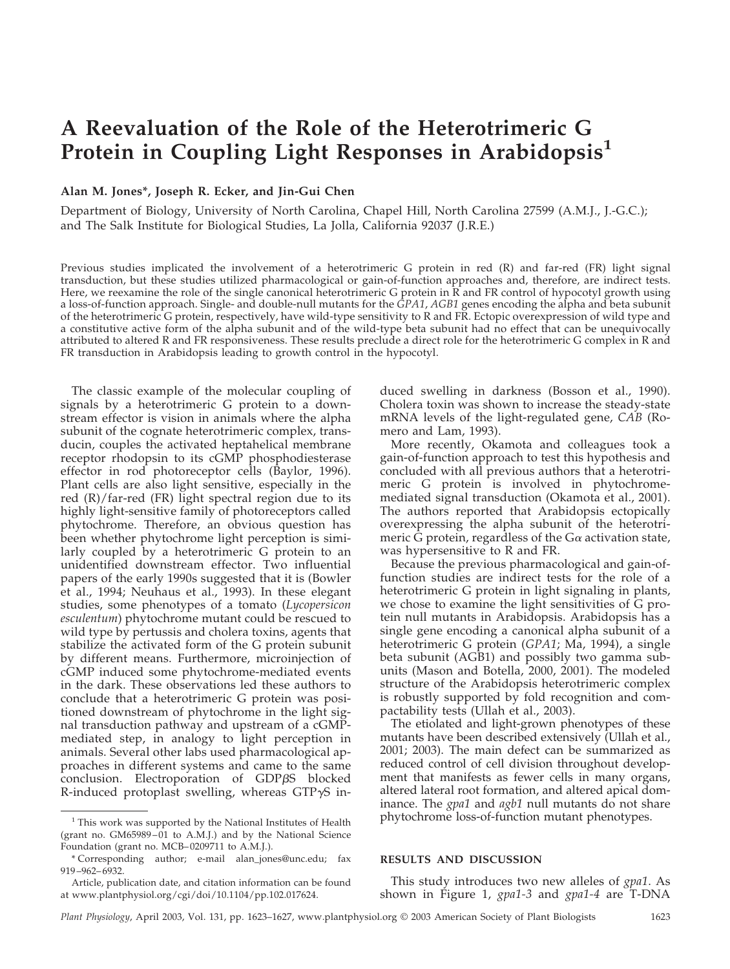# **A Reevaluation of the Role of the Heterotrimeric G Protein in Coupling Light Responses in Arabidopsis<sup>1</sup>**

## **Alan M. Jones\*, Joseph R. Ecker, and Jin-Gui Chen**

Department of Biology, University of North Carolina, Chapel Hill, North Carolina 27599 (A.M.J., J.-G.C.); and The Salk Institute for Biological Studies, La Jolla, California 92037 (J.R.E.)

Previous studies implicated the involvement of a heterotrimeric G protein in red (R) and far-red (FR) light signal transduction, but these studies utilized pharmacological or gain-of-function approaches and, therefore, are indirect tests. Here, we reexamine the role of the single canonical heterotrimeric G protein in  $\tilde{R}$  and FR control of hypocotyl growth using a loss-of-function approach. Single- and double-null mutants for the *GPA1*, *AGB1* genes encoding the alpha and beta subunit of the heterotrimeric G protein, respectively, have wild-type sensitivity to R and FR. Ectopic overexpression of wild type and a constitutive active form of the alpha subunit and of the wild-type beta subunit had no effect that can be unequivocally attributed to altered R and FR responsiveness. These results preclude a direct role for the heterotrimeric G complex in R and FR transduction in Arabidopsis leading to growth control in the hypocotyl.

The classic example of the molecular coupling of signals by a heterotrimeric G protein to a downstream effector is vision in animals where the alpha subunit of the cognate heterotrimeric complex, transducin, couples the activated heptahelical membrane receptor rhodopsin to its cGMP phosphodiesterase effector in rod photoreceptor cells (Baylor, 1996). Plant cells are also light sensitive, especially in the red  $(R)/far$ -red  $(FR)$  light spectral region due to its highly light-sensitive family of photoreceptors called phytochrome. Therefore, an obvious question has been whether phytochrome light perception is similarly coupled by a heterotrimeric G protein to an unidentified downstream effector. Two influential papers of the early 1990s suggested that it is (Bowler et al., 1994; Neuhaus et al., 1993). In these elegant studies, some phenotypes of a tomato (*Lycopersicon esculentum*) phytochrome mutant could be rescued to wild type by pertussis and cholera toxins, agents that stabilize the activated form of the G protein subunit by different means. Furthermore, microinjection of cGMP induced some phytochrome-mediated events in the dark. These observations led these authors to conclude that a heterotrimeric G protein was positioned downstream of phytochrome in the light signal transduction pathway and upstream of a cGMPmediated step, in analogy to light perception in animals. Several other labs used pharmacological approaches in different systems and came to the same conclusion. Electroporation of GDPS blocked R-induced protoplast swelling, whereas GTP $\gamma$ S induced swelling in darkness (Bosson et al., 1990). Cholera toxin was shown to increase the steady-state mRNA levels of the light-regulated gene, *CAB* (Romero and Lam, 1993).

More recently, Okamota and colleagues took a gain-of-function approach to test this hypothesis and concluded with all previous authors that a heterotrimeric G protein is involved in phytochromemediated signal transduction (Okamota et al., 2001). The authors reported that Arabidopsis ectopically overexpressing the alpha subunit of the heterotrimeric G protein, regardless of the  $G\alpha$  activation state, was hypersensitive to R and FR.

Because the previous pharmacological and gain-offunction studies are indirect tests for the role of a heterotrimeric G protein in light signaling in plants, we chose to examine the light sensitivities of G protein null mutants in Arabidopsis. Arabidopsis has a single gene encoding a canonical alpha subunit of a heterotrimeric G protein (*GPA1*; Ma, 1994), a single beta subunit (AGB1) and possibly two gamma subunits (Mason and Botella, 2000, 2001). The modeled structure of the Arabidopsis heterotrimeric complex is robustly supported by fold recognition and compactability tests (Ullah et al., 2003).

The etiolated and light-grown phenotypes of these mutants have been described extensively (Ullah et al., 2001; 2003). The main defect can be summarized as reduced control of cell division throughout development that manifests as fewer cells in many organs, altered lateral root formation, and altered apical dominance. The *gpa1* and *agb1* null mutants do not share phytochrome loss-of-function mutant phenotypes.

#### **RESULTS AND DISCUSSION**

This study introduces two new alleles of *gpa1*. As shown in Figure 1, *gpa1-3* and *gpa1-4* are T-DNA

<sup>&</sup>lt;sup>1</sup> This work was supported by the National Institutes of Health (grant no. GM65989–01 to A.M.J.) and by the National Science Foundation (grant no. MCB–0209711 to A.M.J.).

<sup>\*</sup> Corresponding author; e-mail alan\_jones@unc.edu; fax 919–962–6932.

Article, publication date, and citation information can be found at www.plantphysiol.org/cgi/doi/10.1104/pp.102.017624.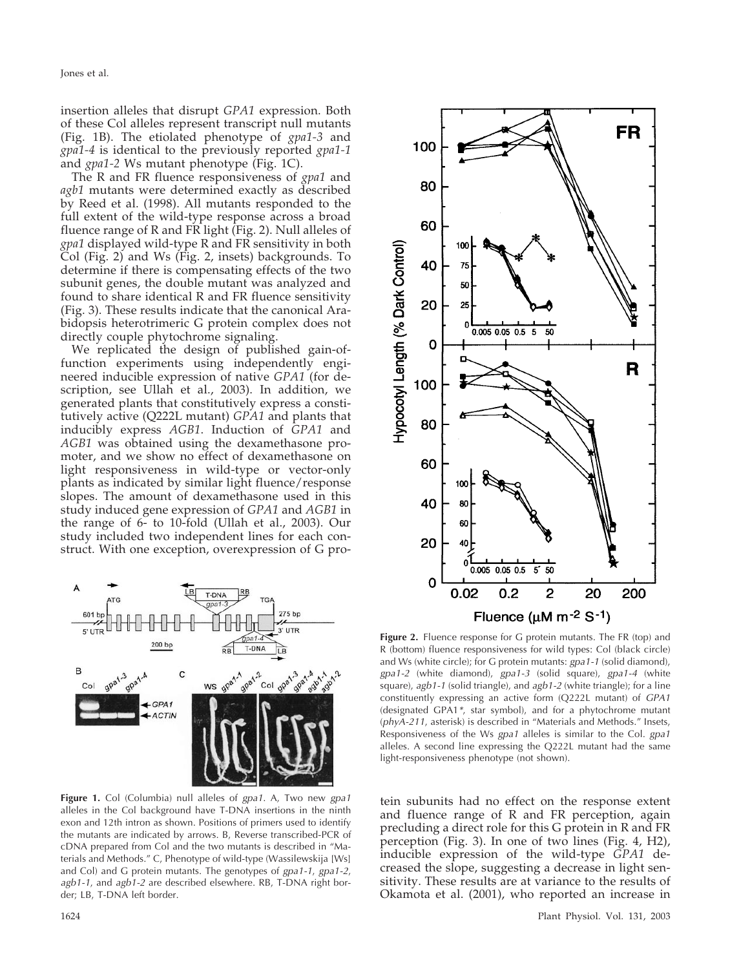insertion alleles that disrupt *GPA1* expression. Both of these Col alleles represent transcript null mutants (Fig. 1B). The etiolated phenotype of *gpa1-3* and *gpa1-4* is identical to the previously reported *gpa1-1* and *gpa1-2* Ws mutant phenotype (Fig. 1C).

The R and FR fluence responsiveness of *gpa1* and *agb1* mutants were determined exactly as described by Reed et al. (1998). All mutants responded to the full extent of the wild-type response across a broad fluence range of R and FR light (Fig. 2). Null alleles of *gpa1* displayed wild-type R and FR sensitivity in both Col (Fig. 2) and Ws (Fig. 2, insets) backgrounds. To determine if there is compensating effects of the two subunit genes, the double mutant was analyzed and found to share identical R and FR fluence sensitivity (Fig. 3). These results indicate that the canonical Arabidopsis heterotrimeric G protein complex does not directly couple phytochrome signaling.

We replicated the design of published gain-offunction experiments using independently engineered inducible expression of native *GPA1* (for description, see Ullah et al., 2003). In addition, we generated plants that constitutively express a constitutively active (Q222L mutant) *GPA1* and plants that inducibly express *AGB1*. Induction of *GPA1* and *AGB1* was obtained using the dexamethasone promoter, and we show no effect of dexamethasone on light responsiveness in wild-type or vector-only plants as indicated by similar light fluence/response slopes. The amount of dexamethasone used in this study induced gene expression of *GPA1* and *AGB1* in the range of 6- to 10-fold (Ullah et al., 2003). Our study included two independent lines for each construct. With one exception, overexpression of G pro-



**Figure 1.** Col (Columbia) null alleles of *gpa1*. A, Two new *gpa1* alleles in the Col background have T-DNA insertions in the ninth exon and 12th intron as shown. Positions of primers used to identify the mutants are indicated by arrows. B, Reverse transcribed-PCR of cDNA prepared from Col and the two mutants is described in "Materials and Methods." C, Phenotype of wild-type (Wassilewskija [Ws] and Col) and G protein mutants. The genotypes of *gpa1-1*, *gpa1-2*, *agb1-1*, and *agb1-2* are described elsewhere. RB, T-DNA right border; LB, T-DNA left border.



**Figure 2.** Fluence response for G protein mutants. The FR (top) and R (bottom) fluence responsiveness for wild types: Col (black circle) and Ws (white circle); for G protein mutants: *gpa1-1* (solid diamond), *gpa1-2* (white diamond), *gpa1-3* (solid square), *gpa1-4* (white square), *agb1-1* (solid triangle), and *agb1-2* (white triangle); for a line constituently expressing an active form (Q222L mutant) of *GPA1* (designated GPA1*\**, star symbol), and for a phytochrome mutant (*phyA-211*, asterisk) is described in "Materials and Methods." Insets, Responsiveness of the Ws *gpa1* alleles is similar to the Col. *gpa1* alleles. A second line expressing the Q222L mutant had the same light-responsiveness phenotype (not shown).

tein subunits had no effect on the response extent and fluence range of R and FR perception, again precluding a direct role for this G protein in R and FR perception (Fig. 3). In one of two lines (Fig. 4, H2), inducible expression of the wild-type *GPA1* decreased the slope, suggesting a decrease in light sensitivity. These results are at variance to the results of Okamota et al. (2001), who reported an increase in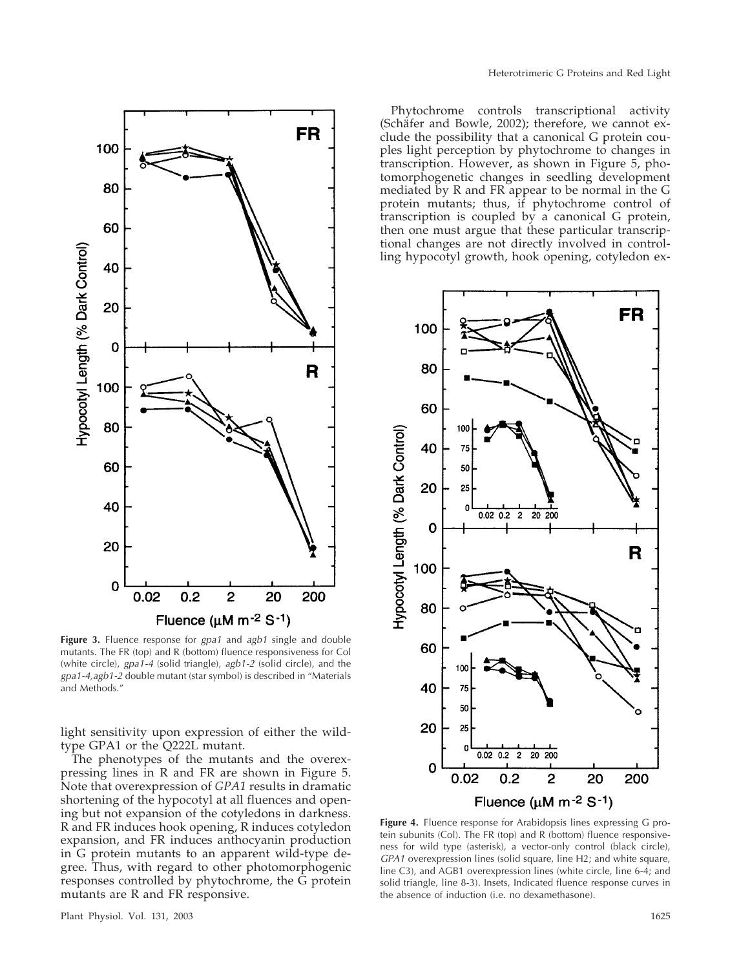

**Figure 3.** Fluence response for *gpa1* and *agb1* single and double mutants. The FR (top) and R (bottom) fluence responsiveness for Col (white circle), *gpa1-4* (solid triangle), *agb1-2* (solid circle), and the *gpa1-4,agb1-2* double mutant (star symbol) is described in "Materials and Methods."

light sensitivity upon expression of either the wildtype GPA1 or the Q222L mutant.

The phenotypes of the mutants and the overexpressing lines in R and FR are shown in Figure 5. Note that overexpression of *GPA1* results in dramatic shortening of the hypocotyl at all fluences and opening but not expansion of the cotyledons in darkness. R and FR induces hook opening, R induces cotyledon expansion, and FR induces anthocyanin production in G protein mutants to an apparent wild-type degree. Thus, with regard to other photomorphogenic responses controlled by phytochrome, the G protein mutants are R and FR responsive.

Phytochrome controls transcriptional activity (Schäfer and Bowle, 2002); therefore, we cannot exclude the possibility that a canonical G protein couples light perception by phytochrome to changes in transcription. However, as shown in Figure 5, photomorphogenetic changes in seedling development mediated by R and FR appear to be normal in the G protein mutants; thus, if phytochrome control of transcription is coupled by a canonical G protein, then one must argue that these particular transcriptional changes are not directly involved in controlling hypocotyl growth, hook opening, cotyledon ex-



**Figure 4.** Fluence response for Arabidopsis lines expressing G protein subunits (Col). The FR (top) and R (bottom) fluence responsiveness for wild type (asterisk), a vector-only control (black circle), *GPA1* overexpression lines (solid square, line H2; and white square, line C3), and AGB1 overexpression lines (white circle, line 6-4; and solid triangle, line 8-3). Insets, Indicated fluence response curves in the absence of induction (i.e. no dexamethasone).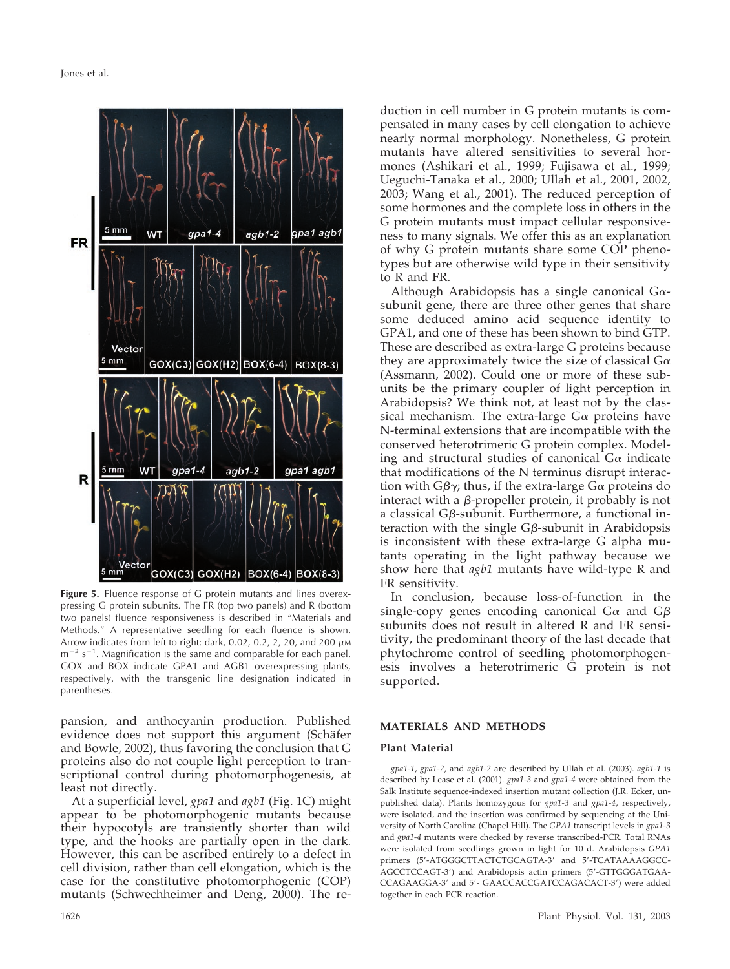

**Figure 5.** Fluence response of G protein mutants and lines overexpressing G protein subunits. The FR (top two panels) and R (bottom two panels) fluence responsiveness is described in "Materials and Methods." A representative seedling for each fluence is shown. Arrow indicates from left to right: dark, 0.02, 0.2, 2, 20, and 200  $\mu$ M  $m^{-2}$  s<sup>-1</sup>. Magnification is the same and comparable for each panel. GOX and BOX indicate GPA1 and AGB1 overexpressing plants, respectively, with the transgenic line designation indicated in parentheses.

pansion, and anthocyanin production. Published evidence does not support this argument (Schäfer and Bowle, 2002), thus favoring the conclusion that G proteins also do not couple light perception to transcriptional control during photomorphogenesis, at least not directly.

At a superficial level, *gpa1* and *agb1* (Fig. 1C) might appear to be photomorphogenic mutants because their hypocotyls are transiently shorter than wild type, and the hooks are partially open in the dark. However, this can be ascribed entirely to a defect in cell division, rather than cell elongation, which is the case for the constitutive photomorphogenic (COP) mutants (Schwechheimer and Deng, 2000). The re-

duction in cell number in G protein mutants is compensated in many cases by cell elongation to achieve nearly normal morphology. Nonetheless, G protein mutants have altered sensitivities to several hormones (Ashikari et al., 1999; Fujisawa et al., 1999; Ueguchi-Tanaka et al., 2000; Ullah et al., 2001, 2002, 2003; Wang et al., 2001). The reduced perception of some hormones and the complete loss in others in the G protein mutants must impact cellular responsiveness to many signals. We offer this as an explanation of why G protein mutants share some COP phenotypes but are otherwise wild type in their sensitivity to R and FR.

Although Arabidopsis has a single canonical  $Ga$ subunit gene, there are three other genes that share some deduced amino acid sequence identity to GPA1, and one of these has been shown to bind GTP. These are described as extra-large G proteins because they are approximately twice the size of classical  $G\alpha$ (Assmann, 2002). Could one or more of these subunits be the primary coupler of light perception in Arabidopsis? We think not, at least not by the classical mechanism. The extra-large  $G\alpha$  proteins have N-terminal extensions that are incompatible with the conserved heterotrimeric G protein complex. Modeling and structural studies of canonical  $G\alpha$  indicate that modifications of the N terminus disrupt interaction with Gβ $\gamma$ ; thus, if the extra-large G $\alpha$  proteins do interact with a  $\beta$ -propeller protein, it probably is not a classical G $\beta$ -subunit. Furthermore, a functional interaction with the single  $G\beta$ -subunit in Arabidopsis is inconsistent with these extra-large G alpha mutants operating in the light pathway because we show here that *agb1* mutants have wild-type R and FR sensitivity.

In conclusion, because loss-of-function in the single-copy genes encoding canonical  $G\alpha$  and  $G\beta$ subunits does not result in altered R and FR sensitivity, the predominant theory of the last decade that phytochrome control of seedling photomorphogenesis involves a heterotrimeric G protein is not supported.

# **MATERIALS AND METHODS**

#### **Plant Material**

*gpa1-1*, *gpa1-2*, and *agb1-2* are described by Ullah et al. (2003). *agb1-1* is described by Lease et al. (2001). *gpa1-3* and *gpa1-4* were obtained from the Salk Institute sequence-indexed insertion mutant collection (J.R. Ecker, unpublished data). Plants homozygous for *gpa1-3* and *gpa1-4*, respectively, were isolated, and the insertion was confirmed by sequencing at the University of North Carolina (Chapel Hill). The *GPA1* transcript levels in *gpa1-3* and *gpa1-4* mutants were checked by reverse transcribed-PCR. Total RNAs were isolated from seedlings grown in light for 10 d. Arabidopsis *GPA1* primers (5'-ATGGGCTTACTCTGCAGTA-3' and 5'-TCATAAAAGGCC-AGCCTCCAGT-3) and Arabidopsis actin primers (5-GTTGGGATGAA-CCAGAAGGA-3' and 5'- GAACCACCGATCCAGACACT-3') were added together in each PCR reaction.